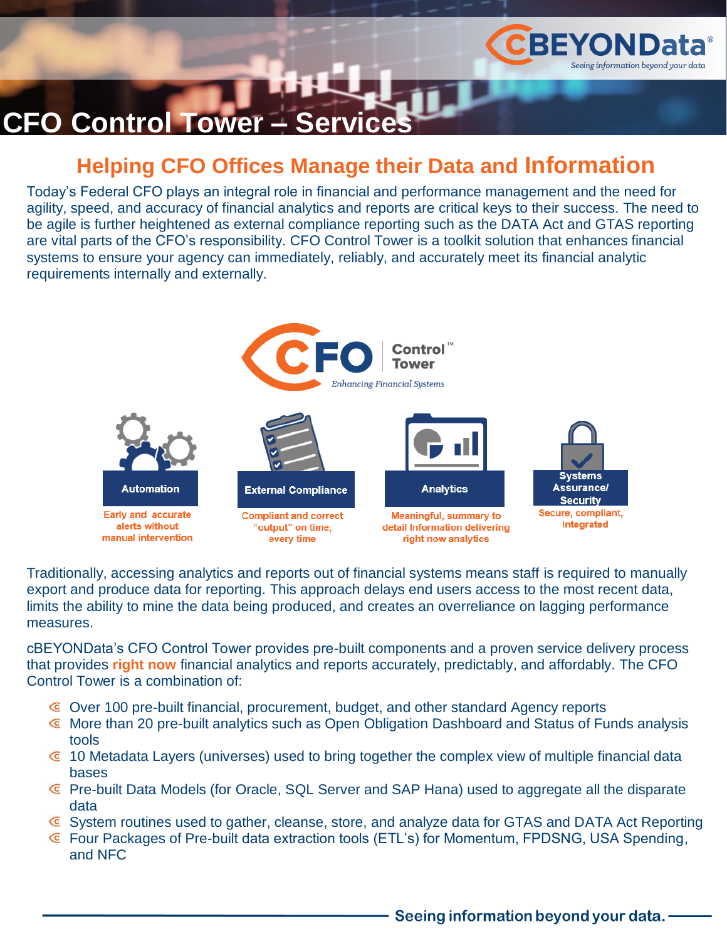

# **CFO Control Tower – Ser**

### **Helping CFO Offices Manage their Data and Information**

Today's Federal CFO plays an integral role in financial and performance management and the need for agility, speed, and accuracy of financial analytics and reports are critical keys to their success. The need to be agile is further heightened as external compliance reporting such as the DATA Act and GTAS reporting are vital parts of the CFO's responsibility. CFO Control Tower is a toolkit solution that enhances financial systems to ensure your agency can immediately, reliably, and accurately meet its financial analytic requirements internally and externally.



Traditionally, accessing analytics and reports out of financial systems means staff is required to manually export and produce data for reporting. This approach delays end users access to the most recent data, limits the ability to mine the data being produced, and creates an overreliance on lagging performance measures.

cBEYONData's CFO Control Tower provides pre-built components and a proven service delivery process that provides **right now** financial analytics and reports accurately, predictably, and affordably. The CFO Control Tower is a combination of:

- Over 100 pre-built financial, procurement, budget, and other standard Agency reports
- More than 20 pre-built analytics such as Open Obligation Dashboard and Status of Funds analysis tools
- $\epsilon$  10 Metadata Layers (universes) used to bring together the complex view of multiple financial data bases
- Pre-built Data Models (for Oracle, SQL Server and SAP Hana) used to aggregate all the disparate data
- System routines used to gather, cleanse, store, and analyze data for GTAS and DATA Act Reporting
- Four Packages of Pre-built data extraction tools (ETL's) for Momentum, FPDSNG, USA Spending, and NFC